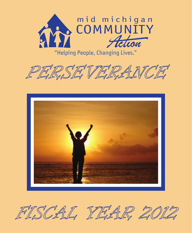

"Helping People, Changing Lives."







FISCAL YEAR 20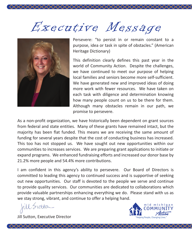# Executive Message

XXXXXXXXXXXXXXXXXXXXXXXXXXXXXXXX



Persevere: "to persist in or remain constant to a purpose, idea or task in spite of obstacles." (American Heritage Dictionary)

This definition clearly defines this past year in the world of Community Action. Despite the challenges, we have continued to meet our purpose of helping local families and seniors become more self-sufficient. We have generated new and improved ideas of doing more work with fewer resources. We have taken on each task with diligence and determination knowing how many people count on us to be there for them. Although many obstacles remain in our path, we promise to persevere.

As a non-profit organization, we have historically been dependent on grant sources from federal and state entities. Many of these grants have remained intact, but the majority has been flat funded. This means we are receiving the same amount of funding for several years despite that the cost of conducting business has increased. This too has not stopped us. We have sought out new opportunities within our communities to increases services. We are preparing grant applications to initiate or expand programs. We enhanced fundraising efforts and increased our donor base by 21.2% more people and 54.4% more contributions.

I am confident in this agency's ability to persevere. Our Board of Directors is committed to leading this agency to continued success and is supportive of seeking out new opportunities. Our staff is devoted to the people we serve and continue to provide quality services. Our communities are dedicated to collaborations which provide valuable partnerships enhancing everything we do. Please stand with us as we stay strong, vibrant, and continue to offer a helping hand.

fill Sutton

Jill Sutton, Executive Director

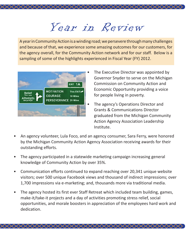# Year in Review

XXXXXXXXXXXXXXXXXXXXXXXXXXXXX

A year in Community Action is a winding road; we persevere through many challenges and because of that, we experience some amazing outcomes for our customers, for the agency overall, for the Community Action network and for our staff. Below is a sampling of some of the highlights experienced in Fiscal Year (FY) 2012.



- The Executive Director was appointed by Governor Snyder to serve on the Michigan Commission on Community Action and Economic Opportunity providing a voice for people living in poverty.
- The agency's Operations Director and Grants & Communications Director graduated from the Michigan Community Action Agency Association Leadership Institute.
- An agency volunteer, Lula Foco, and an agency consumer, Sara Ferry, were honored by the Michigan Community Action Agency Association receiving awards for their outstanding efforts.
- The agency participated in a statewide marketing campaign increasing general knowledge of Community Action by over 35%.
- Communication efforts continued to expand reaching over 20,341 unique website visitors; over 500 unique Facebook views and thousand of indirect impressions; over 1,700 impressions via e-marketing; and, thousands more via traditional media.
- The agency hosted its first ever Staff Retreat which included team building, games, make-it/take-it projects and a day of activities promoting stress relief, social opportunities, and morale boosters in appreciation of the employees hard work and dedication.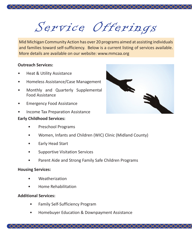

XXXXXXXXXXXXXXXXXXXXXXXXXXXXXXXXXXXX

Mid Michigan Community Action has over 20 programs aimed at assisting individuals and families toward self-sufficiency. Below is a current listing of services available. More details are available on our website: www.mmcaa.org

#### **Outreach Services:**

- Heat & Utility Assistance
- Homeless Assistance/Case Management
- Monthly and Quarterly Supplemental Food Assistance
- Emergency Food Assistance
- Income Tax Preparation Assistance

### **Early Childhood Services:**

- Preschool Programs
- Women, Infants and Children (WIC) Clinic (Midland County)
- Early Head Start
- Supportive Visitation Services
- Parent Aide and Strong Family Safe Children Programs

#### **Housing Services:**

- Weatherization
- Home Rehabilitation

#### **Additional Services:**

- Family Self-Sufficiency Program
- Homebuyer Education & Downpayment Assistance

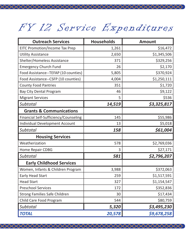# FY 12 Service Expenditures

XXXXXXXXXXXXXXXXXXXXXXXXXXXXXXXXX

| <b>Outreach Services</b>              | <b>Households</b> | <b>Amount</b> |
|---------------------------------------|-------------------|---------------|
| EITC Promotion/Income Tax Prep        | 1,261             | \$16,472      |
| <b>Utility Assistance</b>             | 2,650             | \$1,345,506   |
| Shelter/Homeless Assistance           | 371               | \$329,256     |
| <b>Emergency Church Fund</b>          | 26                | \$2,170       |
| Food Assistance--TEFAP (10 counties)  | 5,805             | \$370,924     |
| Food Assistance--CSFP (10 counties)   | 4,004             | \$1,250,111   |
| <b>County Food Pantries</b>           | 351               | \$1,720       |
| Bay City Dental Program               | 46                | \$9,122       |
| <b>Migrant Services</b>               | 5                 | \$536         |
| Subtotal                              | 14,519            | \$3,325,817   |
| <b>Grants &amp; Communications</b>    |                   |               |
| Financial Self-Sufficiency/Counseling | 145               | \$55,986      |
| Individual Development Account        | 13                | \$5,018       |
| Subtotal                              | 158               | \$61,004      |
| <b>Housing Services</b>               |                   |               |
| Weatherization                        | 578               | \$2,769,036   |
| Home Repair CDBG                      | 3                 | \$27,171      |
| Subtotal                              | 581               | \$2,796,207   |
| <b>Early Childhood Services</b>       |                   |               |
| Women, Infants & Children Program     | 3,988             | \$372,063     |
| Early Head Start                      | 259               | \$1,517,591   |
| <b>Head Start</b>                     | 327               | \$1,154,547   |
| <b>Preschool Services</b>             | 172               | \$352,836     |
| Strong Families Safe Children         | 30                | \$17,434      |
| Child Care Food Program               | 544               | \$80,759      |
| Subtotal                              | 5,320             | \$3,495,230   |
| <b>TOTAL</b>                          | 20,578            | \$9,678,258   |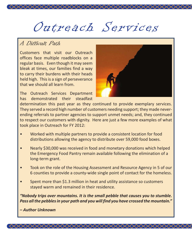# Outreach Services

XXXXXXXXXXXXXXXXXXXXXXXXXXXXXXX

## A Difficult Path

Customers that visit our Outreach offices face multiple roadblocks on a regular basis. Even though it may seem bleak at times, our families find a way to carry their burdens with their heads held high. This is a sign of perseverance that we should all learn from.

The Outreach Services Department has demonstrated their steadfast



determination this past year as they continued to provide exemplary services. They served a record high number of customers needing support; they made neverending referrals to partner agencies to support unmet needs; and, they continued to respect our customers with dignity. Here are just a few more examples of what took place in Outreach for FY 2012:

- Worked with multiple partners to provide a consistent location for food distributions allowing the agency to distribute over 59,000 food boxes.
- Nearly \$30,000 was received in food and monetary donations which helped the Emergency Food Pantry remain available following the elimination of a long-term grant.
- Took on the role of the Housing Assessment and Resource Agency in 5 of our 6 counties to provide a county-wide single point of contact for the homeless.
- Spent more than \$1.3 million in heat and utility assistance so customers stayed warm and remained in their residence.

*"Nobody trips over mountains. It is the small pebble that causes you to stumble. Pass all the pebbles in your path and you will find you have crossed the mountain."*

*– Author Unknown*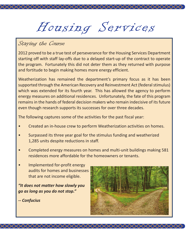Housing Services

## Staying the Course

2012 proved to be a true test of perseverance for the Housing Services Department starting off with staff lay-offs due to a delayed start-up of the contract to operate the program. Fortunately this did not deter them as they returned with purpose and fortitude to begin making homes more energy efficient.

Weatherization has remained the department's primary focus as it has been supported through the American Recovery and Reinvestment Act (federal stimulus) which was extended for its fourth year. This has allowed the agency to perform energy measures on additional residences. Unfortunately, the fate of this program remains in the hands of federal decision makers who remain indecisive of its future even though research supports its successes for over three decades.

The following captures some of the activities for the past fiscal year:

- Created an in-house crew to perform Weatherization activities on homes.
- Surpassed its three year goal for the stimulus funding and weatherized 1,285 units despite reductions in staff.
- Completed energy measures on homes and multi-unit buildings making 581 residences more affordable for the homeowners or tenants.

XXXXXXXXXXXXXXXXXXXXXXXXXXXXXXXXXXXX

• Implemented for-profit energy audits for homes and businesses that are not income eligible.

*"It does not matter how slowly you go as long as you do not stop."* 

*-- Confucius*

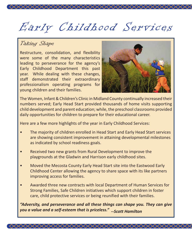# Early Childhood Services

XXXXXXXXXXXXXXXXXXXXXXXXXXXXX

## Taking Shape

Restructure, consolidation, and flexibility were some of the many characteristics leading to perseverance for the agency's Early Childhood Department this past year. While dealing with these changes, staff demonstrated their extraordinary professionalism operating programs for young children and their families.



The Women, Infant & Children's Clinic in Midland County continually increased their numbers served; Early Head Start provided thousands of home visits supporting child development and parent education; while, the preschool classrooms provided daily opportunities for children to prepare for their educational career.

Here are a few more highlights of the year in Early Childhood Services:

- The majority of children enrolled in Head Start and Early Head Start services are showing consistent improvement in attaining developmental milestones as indicated by school readiness goals.
- Received two new grants from Rural Development to improve the playgrounds at the Gladwin and Harrison early childhood sites.
- Moved the Mecosta County Early Head Start site into the Eastwood Early Childhood Center allowing the agency to share space with its like partners improving access for families.
- Awarded three new contracts with local Department of Human Services for Strong Families, Safe Children initiatives which support children in foster care, child protective services or being reunified with their families.

*"Adversity, and perseverance and all these things can shape you. They can give you a value and a self-esteem that is priceless." --Scott Hamilton*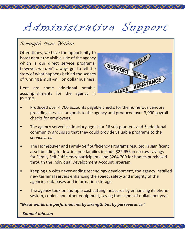# Administrative Support

XXXXXXXXXXXXXXXXX

### Strength from Within

Often times, we have the opportunity to boast about the visible side of the agency which is our direct service programs; however, we don't always get to tell the story of what happens behind the scenes of running a multi-million dollar business.



Here are some additional notable accomplishments for the agency in FY 2012:

- Produced over 4,700 accounts payable checks for the numerous vendors providing services or goods to the agency and produced over 3,000 payroll checks for employees.
- The agency served as fiduciary agent for 16 sub-grantees and 5 additional community groups so that they could provide valuable programs to the service area.
- The Homebuyer and Family Self Sufficiency Programs resulted in significant asset building for low-income families include \$22,956 in escrow savings for Family Self Sufficiency participants and \$264,700 for homes purchased through the Individual Development Account program.
- Keeping up with never-ending technology development, the agency installed new terminal servers enhancing the speed, safety and integrity of the agencies databases and information storage.
- The agency took on multiple cost cutting measures by enhancing its phone system, copiers and other equipment, saving thousands of dollars per year.

<×××××××××××××××××××××××××××××××××

*"Great works are performed not by strength but by perseverance."*

*--Samuel Johnson*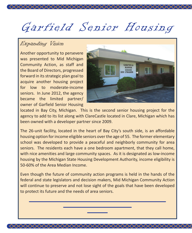# Garfield Senior Housing

XXXXXXXXXXXXXXXXXXXXXXXXXXXXXX

## Expanding Vision

Another opportunity to persevere was presented to Mid Michigan Community Action, as staff and the Board of Directors, progressed forward in its strategic plan goal to acquire another housing project for low to moderate-income seniors. In June 2012, the agency became the limited partner/ owner of Garfield Senior Housing



located in Bay City, Michigan. This is the second senior housing project for the agency to add to its list along with ClareCastle located in Clare, Michigan which has been owned with a developer partner since 2009.

The 26-unit facility, located in the heart of Bay City's south side, is an affordable housing option for income eligible seniors over the age of 55. The former elementary school was developed to provide a peaceful and neighborly community for area seniors. The residents each have a one bedroom apartment, that they call home, with nice amenities and large community spaces. As it is designated as low-income housing by the Michigan State Housing Development Authority, income eligibility is 50-60% of the Area Median Income.

Even though the future of community action programs is held in the hands of the federal and state legislators and decision makers, Mid Michigan Community Action will continue to preserve and not lose sight of the goals that have been developed to protect its future and the needs of area seniors.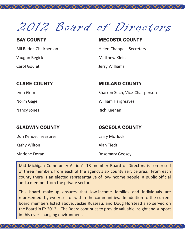2012 Board of Directors

XXXXXXXXXXXXXXXXXXXXXXXXXXXXXXXXXXXX

### BAY COUNTY

Bill Reder, Chairperson Vaughn Begick Carol Goulet

### MECOSTA COUNTY

Helen Chappell, Secretary

Matthew Klein

Jerry Williams

### CLARE COUNTY

Lynn Grim

Norm Gage

Nancy Jones

### MIDLAND COUNTY

Sharron Such, Vice-Chairperson William Hargreaves Rich Keenan

### GLADWIN COUNTY

Don Kehoe, Treasurer

Kathy Wilton

Marlene Doran

OSCEOLA COUNTY

Larry Morlock

Alan Tiedt

Rosemary Geesey

Mid Michigan Community Action's 18 member Board of Directors is comprised of three members from each of the agency's six county service area. From each county there is an elected representative of low-income people, a public official and a member from the private sector.

This board make-up ensures that low-income families and individuals are represented by every sector within the communities. In addition to the current board members listed above, Jackie Russeau, and Doug Horstead also served on the Board in FY 2012. The Board continues to provide valuable insight and support in this ever-changing environment.

╳╳╳╳╳╳╳╳╳╳╳╳╳╳╳╳╳╳╳╳╳╳╳╳╳╳╳╳╳╳╳╳╳╳╳╳╳